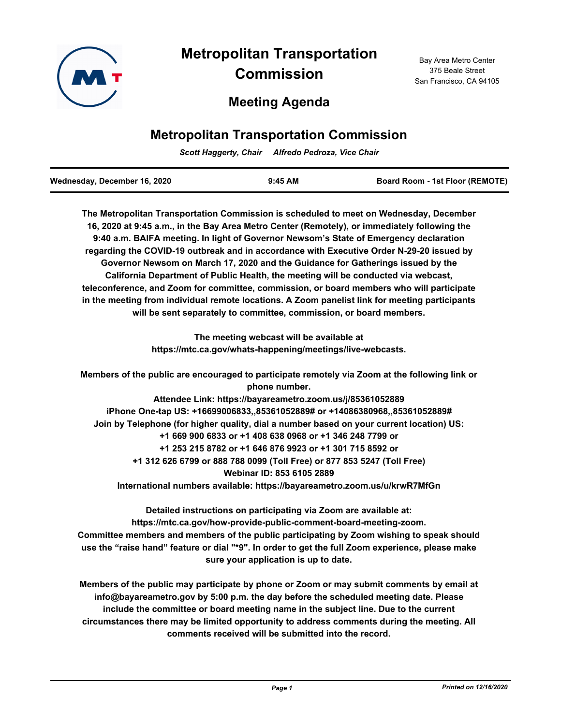

# **Metropolitan Transportation Commission**

## **Meeting Agenda**

## **Metropolitan Transportation Commission**

*Scott Haggerty, Chair Alfredo Pedroza, Vice Chair*

| Wednesday, December 16, 2020 | $9:45$ AM | <b>Board Room - 1st Floor (REMOTE)</b> |
|------------------------------|-----------|----------------------------------------|
|                              |           |                                        |

**The Metropolitan Transportation Commission is scheduled to meet on Wednesday, December 16, 2020 at 9:45 a.m., in the Bay Area Metro Center (Remotely), or immediately following the 9:40 a.m. BAIFA meeting. In light of Governor Newsom's State of Emergency declaration regarding the COVID-19 outbreak and in accordance with Executive Order N-29-20 issued by Governor Newsom on March 17, 2020 and the Guidance for Gatherings issued by the California Department of Public Health, the meeting will be conducted via webcast, teleconference, and Zoom for committee, commission, or board members who will participate in the meeting from individual remote locations. A Zoom panelist link for meeting participants will be sent separately to committee, commission, or board members.**

> **The meeting webcast will be available at https://mtc.ca.gov/whats-happening/meetings/live-webcasts.**

**Members of the public are encouraged to participate remotely via Zoom at the following link or phone number.**

**Attendee Link: https://bayareametro.zoom.us/j/85361052889 iPhone One-tap US: +16699006833,,85361052889# or +14086380968,,85361052889# Join by Telephone (for higher quality, dial a number based on your current location) US: +1 669 900 6833 or +1 408 638 0968 or +1 346 248 7799 or +1 253 215 8782 or +1 646 876 9923 or +1 301 715 8592 or +1 312 626 6799 or 888 788 0099 (Toll Free) or 877 853 5247 (Toll Free) Webinar ID: 853 6105 2889 International numbers available: https://bayareametro.zoom.us/u/krwR7MfGn**

**Detailed instructions on participating via Zoom are available at: https://mtc.ca.gov/how-provide-public-comment-board-meeting-zoom. Committee members and members of the public participating by Zoom wishing to speak should use the "raise hand" feature or dial "\*9". In order to get the full Zoom experience, please make sure your application is up to date.**

**Members of the public may participate by phone or Zoom or may submit comments by email at info@bayareametro.gov by 5:00 p.m. the day before the scheduled meeting date. Please include the committee or board meeting name in the subject line. Due to the current circumstances there may be limited opportunity to address comments during the meeting. All comments received will be submitted into the record.**

Bay Area Metro Center 375 Beale Street San Francisco, CA 94105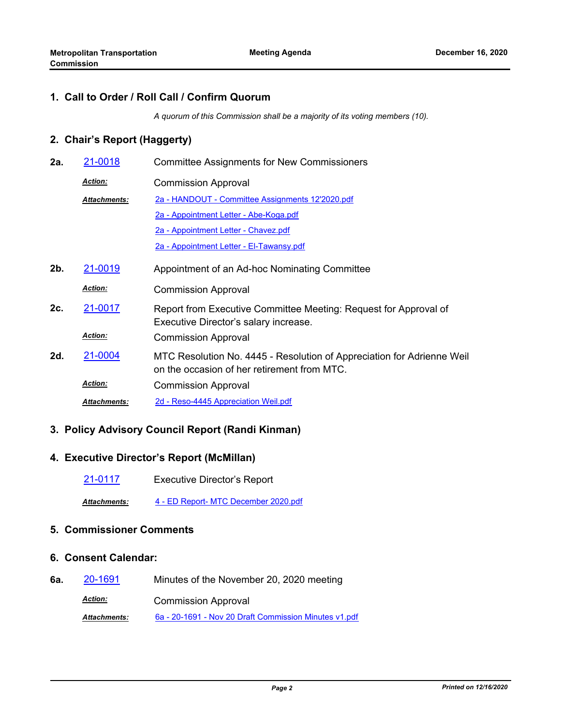#### **1. Call to Order / Roll Call / Confirm Quorum**

*A quorum of this Commission shall be a majority of its voting members (10).*

## **2. Chair's Report (Haggerty)**

**2a.** [21-0018](http://mtc.legistar.com/gateway.aspx?m=l&id=/matter.aspx?key=21611) Committee Assignments for New Commissioners Commission Approval *Action:* [2a - HANDOUT - Committee Assignments 12'2020.pdf](http://mtc.legistar.com/gateway.aspx?M=F&ID=d62a2625-28e8-4012-aeec-26fda230ab4c.pdf) [2a - Appointment Letter - Abe-Koga.pdf](http://mtc.legistar.com/gateway.aspx?M=F&ID=dd75de0e-2e45-430d-9ce0-e5cdf9dd4898.pdf) [2a - Appointment Letter - Chavez.pdf](http://mtc.legistar.com/gateway.aspx?M=F&ID=ff375d6e-ed15-4c93-8ff8-43b97c3f8eb4.pdf) [2a - Appointment Letter - El-Tawansy.pdf](http://mtc.legistar.com/gateway.aspx?M=F&ID=4a32f053-b85f-4065-99dd-0f557651b49f.pdf) *Attachments:* **2b.** [21-0019](http://mtc.legistar.com/gateway.aspx?m=l&id=/matter.aspx?key=21612) Appointment of an Ad-hoc Nominating Committee Commission Approval *Action:* Report from Executive Committee Meeting: Request for Approval of Executive Director's salary increase. **2c.** [21-0017](http://mtc.legistar.com/gateway.aspx?m=l&id=/matter.aspx?key=21610) Commission Approval *Action:* MTC Resolution No. 4445 - Resolution of Appreciation for Adrienne Weil on the occasion of her retirement from MTC. **2d.** [21-0004](http://mtc.legistar.com/gateway.aspx?m=l&id=/matter.aspx?key=21597) Commission Approval *Action: Attachments:* [2d - Reso-4445 Appreciation Weil.pdf](http://mtc.legistar.com/gateway.aspx?M=F&ID=3980ca13-5298-4c72-a47d-cee95421e0aa.pdf)

## **3. Policy Advisory Council Report (Randi Kinman)**

#### **4. Executive Director's Report (McMillan)**

[21-0117](http://mtc.legistar.com/gateway.aspx?m=l&id=/matter.aspx?key=21710) Executive Director's Report

*Attachments:* [4 - ED Report- MTC December 2020.pdf](http://mtc.legistar.com/gateway.aspx?M=F&ID=d39db99e-113e-4a72-a2b4-fed94c584adf.pdf)

#### **5. Commissioner Comments**

#### **6. Consent Calendar:**

**6a.** [20-1691](http://mtc.legistar.com/gateway.aspx?m=l&id=/matter.aspx?key=21556) Minutes of the November 20, 2020 meeting Commission Approval *Action: Attachments:* [6a - 20-1691 - Nov 20 Draft Commission Minutes v1.pdf](http://mtc.legistar.com/gateway.aspx?M=F&ID=9785ab0c-8da4-4520-9c8b-77d424e1676e.pdf)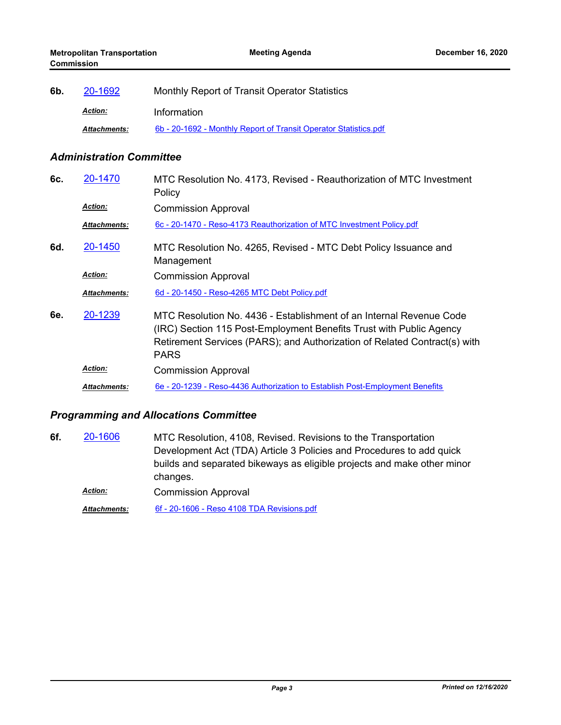| 6b. | 20-1692             | Monthly Report of Transit Operator Statistics                    |
|-----|---------------------|------------------------------------------------------------------|
|     | <b>Action:</b>      | Information                                                      |
|     | <b>Attachments:</b> | 6b - 20-1692 - Monthly Report of Transit Operator Statistics.pdf |

## *Administration Committee*

| 6c. | 20-1470             | MTC Resolution No. 4173, Revised - Reauthorization of MTC Investment<br>Policy                                                                                                                                                         |
|-----|---------------------|----------------------------------------------------------------------------------------------------------------------------------------------------------------------------------------------------------------------------------------|
|     | <b>Action:</b>      | <b>Commission Approval</b>                                                                                                                                                                                                             |
|     | <b>Attachments:</b> | 6c - 20-1470 - Reso-4173 Reauthorization of MTC Investment Policy.pdf                                                                                                                                                                  |
| 6d. | 20-1450             | MTC Resolution No. 4265, Revised - MTC Debt Policy Issuance and<br>Management                                                                                                                                                          |
|     | <b>Action:</b>      | <b>Commission Approval</b>                                                                                                                                                                                                             |
|     | <b>Attachments:</b> | 6d - 20-1450 - Reso-4265 MTC Debt Policy.pdf                                                                                                                                                                                           |
| 6e. | 20-1239             | MTC Resolution No. 4436 - Establishment of an Internal Revenue Code<br>(IRC) Section 115 Post-Employment Benefits Trust with Public Agency<br>Retirement Services (PARS); and Authorization of Related Contract(s) with<br><b>PARS</b> |
|     | <b>Action:</b>      | <b>Commission Approval</b>                                                                                                                                                                                                             |
|     | Attachments:        | 6e - 20-1239 - Reso-4436 Authorization to Establish Post-Employment Benefits                                                                                                                                                           |

## *Programming and Allocations Committee*

MTC Resolution, 4108, Revised. Revisions to the Transportation Development Act (TDA) Article 3 Policies and Procedures to add quick builds and separated bikeways as eligible projects and make other minor changes. **6f.** [20-1606](http://mtc.legistar.com/gateway.aspx?m=l&id=/matter.aspx?key=21471) Commission Approval *Action:*

*Attachments:* [6f - 20-1606 - Reso 4108 TDA Revisions.pdf](http://mtc.legistar.com/gateway.aspx?M=F&ID=5fe8009b-836c-4841-bcbb-57c28aaa1d7b.pdf)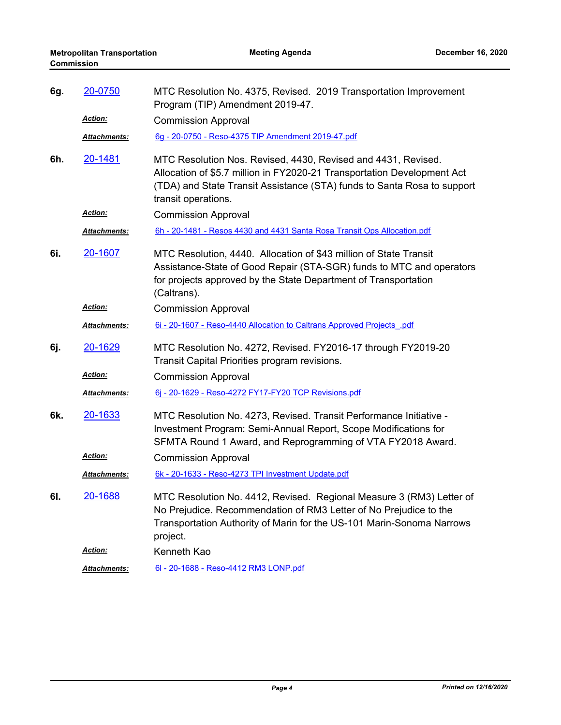| 6g. | 20-0750              | MTC Resolution No. 4375, Revised. 2019 Transportation Improvement<br>Program (TIP) Amendment 2019-47.                                                                                                                                      |
|-----|----------------------|--------------------------------------------------------------------------------------------------------------------------------------------------------------------------------------------------------------------------------------------|
|     | Action:              | <b>Commission Approval</b>                                                                                                                                                                                                                 |
|     | Attachments:         | 6g - 20-0750 - Reso-4375 TIP Amendment 2019-47.pdf                                                                                                                                                                                         |
| 6h. | 20-1481              | MTC Resolution Nos. Revised, 4430, Revised and 4431, Revised.<br>Allocation of \$5.7 million in FY2020-21 Transportation Development Act<br>(TDA) and State Transit Assistance (STA) funds to Santa Rosa to support<br>transit operations. |
|     | Action:              | <b>Commission Approval</b>                                                                                                                                                                                                                 |
|     | Attachments:         | 6h - 20-1481 - Resos 4430 and 4431 Santa Rosa Transit Ops Allocation.pdf                                                                                                                                                                   |
| 6i. | 20-1607              | MTC Resolution, 4440. Allocation of \$43 million of State Transit<br>Assistance-State of Good Repair (STA-SGR) funds to MTC and operators<br>for projects approved by the State Department of Transportation<br>(Caltrans).                |
|     | <b>Action:</b>       | <b>Commission Approval</b>                                                                                                                                                                                                                 |
|     | Attachments:         | 6i - 20-1607 - Reso-4440 Allocation to Caltrans Approved Projects .pdf                                                                                                                                                                     |
| 6j. | 20-1629              | MTC Resolution No. 4272, Revised. FY2016-17 through FY2019-20<br>Transit Capital Priorities program revisions.                                                                                                                             |
|     | Action:              | <b>Commission Approval</b>                                                                                                                                                                                                                 |
|     | Attachments:         | 6j - 20-1629 - Reso-4272 FY17-FY20 TCP Revisions.pdf                                                                                                                                                                                       |
| 6k. | 20-1633              | MTC Resolution No. 4273, Revised. Transit Performance Initiative -<br>Investment Program: Semi-Annual Report, Scope Modifications for<br>SFMTA Round 1 Award, and Reprogramming of VTA FY2018 Award.                                       |
|     | <b>Action:</b>       | <b>Commission Approval</b>                                                                                                                                                                                                                 |
|     | <u> Attachments:</u> | 6k - 20-1633 - Reso-4273 TPI Investment Update.pdf                                                                                                                                                                                         |
| 6I. | 20-1688              | MTC Resolution No. 4412, Revised. Regional Measure 3 (RM3) Letter of<br>No Prejudice. Recommendation of RM3 Letter of No Prejudice to the<br>Transportation Authority of Marin for the US-101 Marin-Sonoma Narrows<br>project.             |
|     | Action:              | Kenneth Kao                                                                                                                                                                                                                                |
|     | Attachments:         | 6l - 20-1688 - Reso-4412 RM3 LONP.pdf                                                                                                                                                                                                      |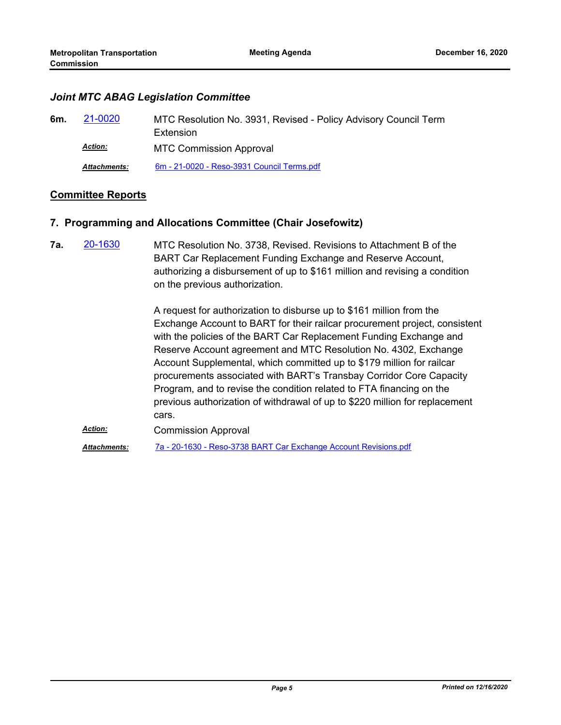#### *Joint MTC ABAG Legislation Committee*

| 6m. | 21-0020             | MTC Resolution No. 3931, Revised - Policy Advisory Council Term |
|-----|---------------------|-----------------------------------------------------------------|
|     |                     | Extension                                                       |
|     | <b>Action:</b>      | <b>MTC Commission Approval</b>                                  |
|     | <b>Attachments:</b> | 6m - 21-0020 - Reso-3931 Council Terms.pdf                      |

## **Committee Reports**

## **7. Programming and Allocations Committee (Chair Josefowitz)**

MTC Resolution No. 3738, Revised. Revisions to Attachment B of the BART Car Replacement Funding Exchange and Reserve Account, authorizing a disbursement of up to \$161 million and revising a condition on the previous authorization. **7a.** [20-1630](http://mtc.legistar.com/gateway.aspx?m=l&id=/matter.aspx?key=21495)

> A request for authorization to disburse up to \$161 million from the Exchange Account to BART for their railcar procurement project, consistent with the policies of the BART Car Replacement Funding Exchange and Reserve Account agreement and MTC Resolution No. 4302, Exchange Account Supplemental, which committed up to \$179 million for railcar procurements associated with BART's Transbay Corridor Core Capacity Program, and to revise the condition related to FTA financing on the previous authorization of withdrawal of up to \$220 million for replacement cars.

Commission Approval *Action: Attachments:* [7a - 20-1630 - Reso-3738 BART Car Exchange Account Revisions.pdf](http://mtc.legistar.com/gateway.aspx?M=F&ID=b86a33e7-010c-4443-ba65-909e74c70168.pdf)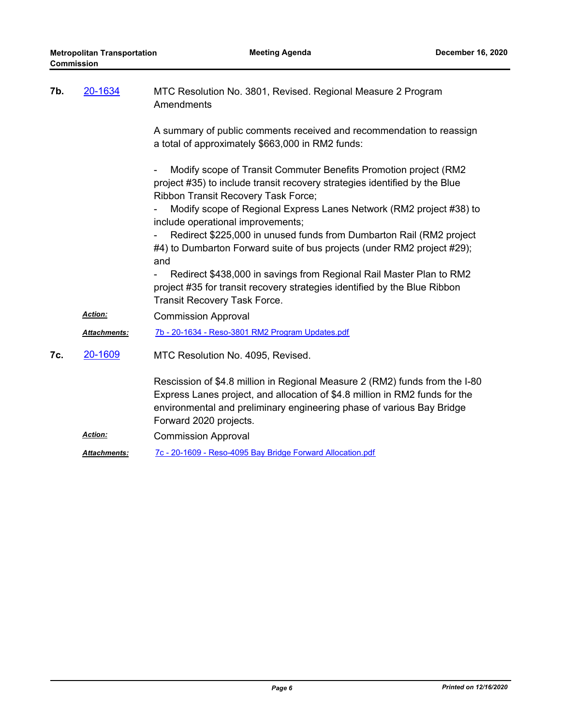| 7b. | 20-1634             | MTC Resolution No. 3801, Revised. Regional Measure 2 Program<br>Amendments                                                                                                                                                                                    |
|-----|---------------------|---------------------------------------------------------------------------------------------------------------------------------------------------------------------------------------------------------------------------------------------------------------|
|     |                     | A summary of public comments received and recommendation to reassign<br>a total of approximately \$663,000 in RM2 funds:                                                                                                                                      |
|     |                     | Modify scope of Transit Commuter Benefits Promotion project (RM2<br>project #35) to include transit recovery strategies identified by the Blue<br>Ribbon Transit Recovery Task Force;                                                                         |
|     |                     | Modify scope of Regional Express Lanes Network (RM2 project #38) to<br>include operational improvements;                                                                                                                                                      |
|     |                     | Redirect \$225,000 in unused funds from Dumbarton Rail (RM2 project<br>$\overline{\phantom{a}}$<br>#4) to Dumbarton Forward suite of bus projects (under RM2 project #29);<br>and                                                                             |
|     |                     | Redirect \$438,000 in savings from Regional Rail Master Plan to RM2<br>project #35 for transit recovery strategies identified by the Blue Ribbon<br>Transit Recovery Task Force.                                                                              |
|     | Action:             | <b>Commission Approval</b>                                                                                                                                                                                                                                    |
|     | Attachments:        | 7b - 20-1634 - Reso-3801 RM2 Program Updates.pdf                                                                                                                                                                                                              |
| 7c. | 20-1609             | MTC Resolution No. 4095, Revised.                                                                                                                                                                                                                             |
|     |                     | Rescission of \$4.8 million in Regional Measure 2 (RM2) funds from the I-80<br>Express Lanes project, and allocation of \$4.8 million in RM2 funds for the<br>environmental and preliminary engineering phase of various Bay Bridge<br>Forward 2020 projects. |
|     | <b>Action:</b>      | <b>Commission Approval</b>                                                                                                                                                                                                                                    |
|     | <b>Attachments:</b> | 7c - 20-1609 - Reso-4095 Bay Bridge Forward Allocation.pdf                                                                                                                                                                                                    |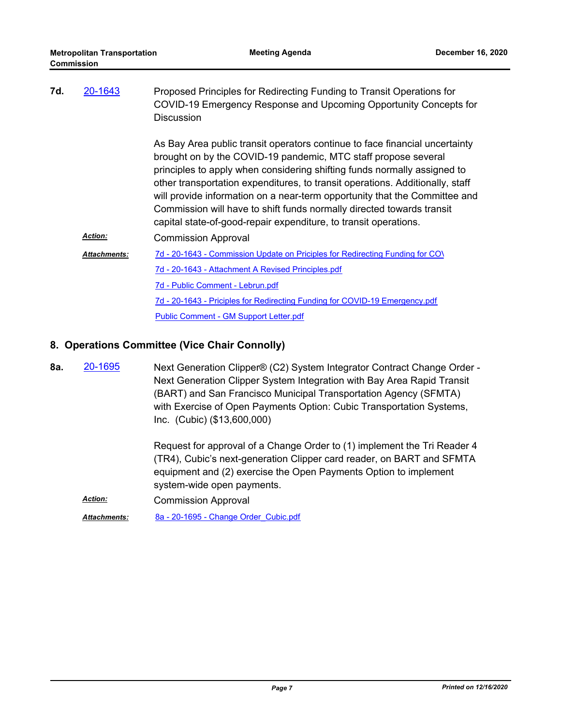| 7d. | 20-1643             | Proposed Principles for Redirecting Funding to Transit Operations for<br>COVID-19 Emergency Response and Upcoming Opportunity Concepts for<br><b>Discussion</b>                                                                                                                                                                                                                                                                                                                                                                       |
|-----|---------------------|---------------------------------------------------------------------------------------------------------------------------------------------------------------------------------------------------------------------------------------------------------------------------------------------------------------------------------------------------------------------------------------------------------------------------------------------------------------------------------------------------------------------------------------|
|     |                     | As Bay Area public transit operators continue to face financial uncertainty<br>brought on by the COVID-19 pandemic, MTC staff propose several<br>principles to apply when considering shifting funds normally assigned to<br>other transportation expenditures, to transit operations. Additionally, staff<br>will provide information on a near-term opportunity that the Committee and<br>Commission will have to shift funds normally directed towards transit<br>capital state-of-good-repair expenditure, to transit operations. |
|     | <b>Action:</b>      | <b>Commission Approval</b>                                                                                                                                                                                                                                                                                                                                                                                                                                                                                                            |
|     | <b>Attachments:</b> | 7d - 20-1643 - Commission Update on Priciples for Redirecting Funding for COV                                                                                                                                                                                                                                                                                                                                                                                                                                                         |
|     |                     | 7d - 20-1643 - Attachment A Revised Principles.pdf                                                                                                                                                                                                                                                                                                                                                                                                                                                                                    |
|     |                     | 7d - Public Comment - Lebrun.pdf                                                                                                                                                                                                                                                                                                                                                                                                                                                                                                      |
|     |                     | 7d - 20-1643 - Priciples for Redirecting Funding for COVID-19 Emergency.pdf                                                                                                                                                                                                                                                                                                                                                                                                                                                           |
|     |                     | Public Comment - GM Support Letter.pdf                                                                                                                                                                                                                                                                                                                                                                                                                                                                                                |
|     |                     |                                                                                                                                                                                                                                                                                                                                                                                                                                                                                                                                       |

## **8. Operations Committee (Vice Chair Connolly)**

Next Generation Clipper® (C2) System Integrator Contract Change Order - Next Generation Clipper System Integration with Bay Area Rapid Transit (BART) and San Francisco Municipal Transportation Agency (SFMTA) with Exercise of Open Payments Option: Cubic Transportation Systems, Inc. (Cubic) (\$13,600,000) **8a.** [20-1695](http://mtc.legistar.com/gateway.aspx?m=l&id=/matter.aspx?key=21560)

> Request for approval of a Change Order to (1) implement the Tri Reader 4 (TR4), Cubic's next-generation Clipper card reader, on BART and SFMTA equipment and (2) exercise the Open Payments Option to implement system-wide open payments.

Commission Approval *Action:*

*Attachments:* [8a - 20-1695 - Change Order\\_Cubic.pdf](http://mtc.legistar.com/gateway.aspx?M=F&ID=8dc0294d-e323-4925-9698-52fc3fd10f66.pdf)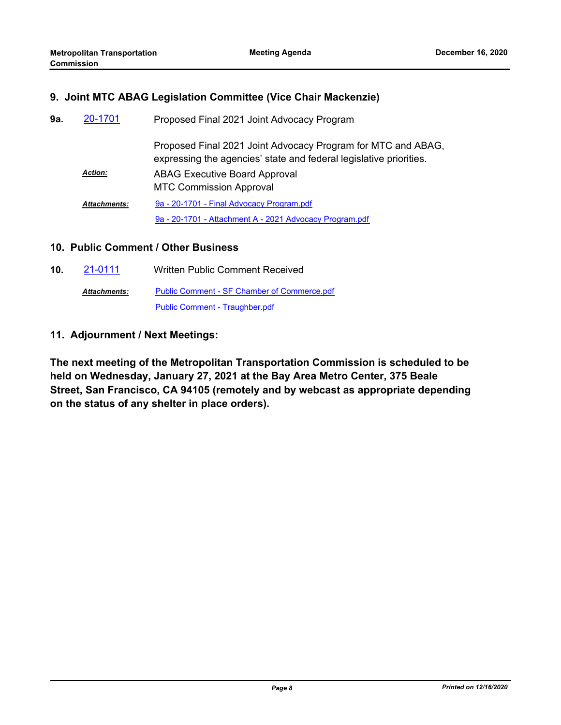## **9. Joint MTC ABAG Legislation Committee (Vice Chair Mackenzie)**

| 9а. | 20-1701             | Proposed Final 2021 Joint Advocacy Program                                                                                         |
|-----|---------------------|------------------------------------------------------------------------------------------------------------------------------------|
|     |                     | Proposed Final 2021 Joint Advocacy Program for MTC and ABAG,<br>expressing the agencies' state and federal legislative priorities. |
|     | <b>Action:</b>      | <b>ABAG Executive Board Approval</b><br><b>MTC Commission Approval</b>                                                             |
|     | <b>Attachments:</b> | 9a - 20-1701 - Final Advocacy Program.pdf                                                                                          |
|     |                     | 9a - 20-1701 - Attachment A - 2021 Advocacy Program.pdf                                                                            |

#### **10. Public Comment / Other Business**

**10.** [21-0111](http://mtc.legistar.com/gateway.aspx?m=l&id=/matter.aspx?key=21704) Written Public Comment Received [Public Comment - SF Chamber of Commerce.pdf](http://mtc.legistar.com/gateway.aspx?M=F&ID=eb9c85cb-0774-4b96-a40d-f43b2c8ffd22.pdf) [Public Comment - Traughber.pdf](http://mtc.legistar.com/gateway.aspx?M=F&ID=5b142fda-77e4-4303-8628-201a6a078194.pdf) *Attachments:*

## **11. Adjournment / Next Meetings:**

**The next meeting of the Metropolitan Transportation Commission is scheduled to be held on Wednesday, January 27, 2021 at the Bay Area Metro Center, 375 Beale Street, San Francisco, CA 94105 (remotely and by webcast as appropriate depending on the status of any shelter in place orders).**